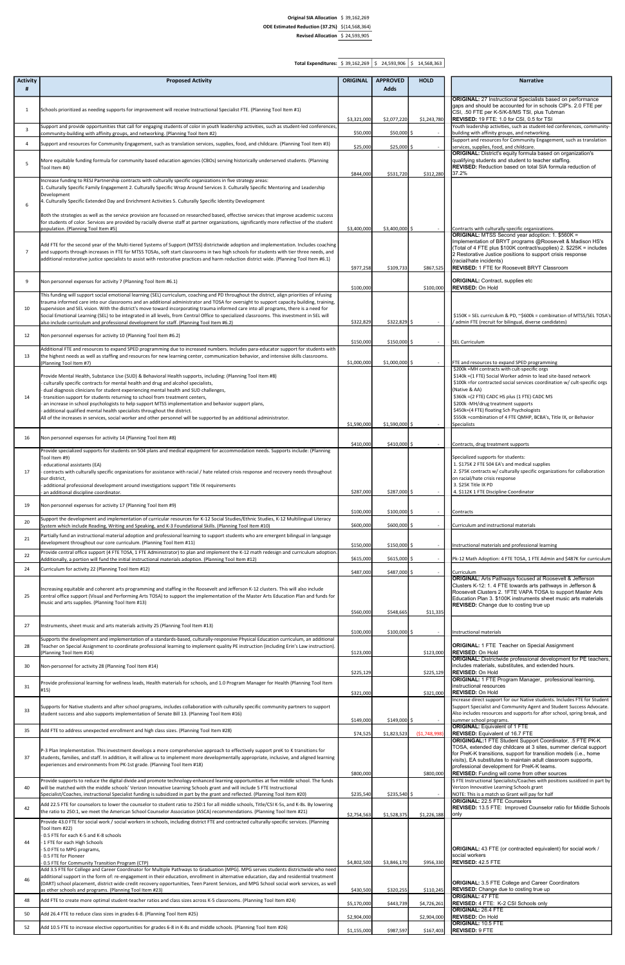## Original SIA Allocation \$ 39,162,269 ODE Estimated Reduction (37.2%) \$ (14,568,364) Revised Allocation  $\frac{5}{24,593,905}$

Total Expenditures:  $\frac{\$}{39,162,269}$   $\frac{\$}{39,162,269}$   $\frac{\$}{39,169,266}$   $\frac{\$}{39,162,269}$ 

| <b>Activity</b> | <b>Proposed Activity</b>                                                                                                                                                                                                                                                                 | <b>ORIGINAL</b> | <b>APPROVED</b> | <b>HOLD</b>  | <b>Narrative</b>                                                                                                                                  |
|-----------------|------------------------------------------------------------------------------------------------------------------------------------------------------------------------------------------------------------------------------------------------------------------------------------------|-----------------|-----------------|--------------|---------------------------------------------------------------------------------------------------------------------------------------------------|
| #               |                                                                                                                                                                                                                                                                                          |                 | <b>Adds</b>     |              |                                                                                                                                                   |
|                 |                                                                                                                                                                                                                                                                                          |                 |                 |              | <b>ORIGINAL:</b> 27 Instructional Specialists based on performance                                                                                |
| 1               | Schools prioritized as needing supports for improvement will receive Instructional Specialist FTE. (Planning Tool Item #1)                                                                                                                                                               |                 |                 |              | gaps and should be accounted for in schools CIP's. 2.0 FTE per<br>CSI, .50 FTE per K-5/K-8/MS TSI, plus Tubman                                    |
|                 |                                                                                                                                                                                                                                                                                          | \$3,321,000     | \$2,077,220     | \$1,243,780  | <b>REVISED:</b> 19 FTE: 1.0 for CSI, 0.5 for TSI                                                                                                  |
| 3               | Support and provide opportunities that call for engaging students of color in youth leadership activities, such as student-led conferences,<br>community-building with affinity groups, and networking. (Planning Tool Item #2)                                                          | \$50,000        | $$50,000$ \$    | $\sim$       | Youth leadership activities, such as student-led conferences, community-<br>building with affinity groups, and networking.                        |
| 4               | Support and resources for Community Engagement, such as translation services, supplies, food, and childcare. (Planning Tool Item #3)                                                                                                                                                     |                 |                 |              | Support and resources for Community Engagement, such as translation                                                                               |
|                 |                                                                                                                                                                                                                                                                                          | \$25,000        | $$25,000$ \$    |              | services, supplies, food, and childcare.<br><b>ORIGINAL:</b> District's equity formula based on organization's                                    |
| 5               | More equitable funding formula for community based education agencies (CBOs) serving historically underserved students. (Planning                                                                                                                                                        |                 |                 |              | qualifying students and student to teacher staffing.                                                                                              |
|                 | Tool Item #4)                                                                                                                                                                                                                                                                            | \$844,000       | \$531,720       | \$312,280    | <b>REVISED:</b> Reduction based on total SIA formula reduction of<br>37.2%                                                                        |
|                 | Increase funding to RESJ Partnership contracts with culturally specific organizations in five strategy areas:                                                                                                                                                                            |                 |                 |              |                                                                                                                                                   |
|                 | 1. Culturally Specific Family Engagement 2. Culturally Specific Wrap Around Services 3. Culturally Specific Mentoring and Leadership<br>Development                                                                                                                                      |                 |                 |              |                                                                                                                                                   |
| 6               | 4. Culturally Specific Extended Day and Enrichment Activities 5. Culturally Specific Identity Development                                                                                                                                                                                |                 |                 |              |                                                                                                                                                   |
|                 |                                                                                                                                                                                                                                                                                          |                 |                 |              |                                                                                                                                                   |
|                 | Both the strategies as well as the service provision are focussed on researched based, effective services that improve academic success<br>for students of color. Services are provided by racially diverse staff at partner organizations, significantly more reflective of the student |                 |                 |              |                                                                                                                                                   |
|                 | population. (Planning Tool Item #5)                                                                                                                                                                                                                                                      | \$3,400,000     | $$3,400,000$ \$ |              | Contracts with culturally specific organizations.                                                                                                 |
|                 |                                                                                                                                                                                                                                                                                          |                 |                 |              | <b>ORIGINAL:</b> MTSS Second year adoption: 1. \$560K =<br>Implementation of BRYT programs @Roosevelt & Madison HS's                              |
| 7               | Add FTE for the second year of the Multi-tiered Systems of Support (MTSS) districtwide adoption and implementation. Includes coaching<br>and supports through increases in FTE for MTSS TOSAs, soft start classrooms in two high schools for students with tier three needs, and         |                 |                 |              | (Total of 4 FTE plus \$100K contract/supplies) 2. \$225K = includes                                                                               |
|                 | additional restorative justice specialists to assist with restorative practices and harm reduction district wide. (Planning Tool Item #6.1)                                                                                                                                              |                 |                 |              | 2 Restorative Justice positions to support crisis response<br>(racial/hate incidents)                                                             |
|                 |                                                                                                                                                                                                                                                                                          | \$977,258       | \$109,733       | \$867,525    | REVISED: 1 FTE for Roosevelt BRYT Classroom                                                                                                       |
| 9               | Non personnel expenses for activity 7 (Planning Tool Item #6.1)                                                                                                                                                                                                                          |                 |                 |              | <b>ORIGINAL: Contract, supplies etc</b>                                                                                                           |
|                 |                                                                                                                                                                                                                                                                                          | \$100,000       |                 | \$100,000    | <b>REVISED: On Hold</b>                                                                                                                           |
|                 | This funding will support social emotional learning (SEL) curriculum, coaching and PD throughout the district, align priorities of infusing<br>trauma informed care into our classrooms and an additional administrator and TOSA for oversight to support capacity building, training,   |                 |                 |              |                                                                                                                                                   |
| 10              | supervision and SEL vision. With the district's move toward incorporating trauma informed care into all programs, there is a need for                                                                                                                                                    |                 |                 |              |                                                                                                                                                   |
|                 | Social Emotional Learning (SEL) to be integrated in all levels, from Central Office to specialized classrooms. This investment in SEL will<br>also include curriculum and professional development for staff. (Planning Tool Item #6.2)                                                  | \$322,829       | $$322,829$ \$   | $\sim$       | \$150K = SEL curriculum & PD, ~\$600k = combination of MTSS/SEL TOSA's<br>/ admin FTE (recruit for bilingual, diverse candidates)                 |
|                 |                                                                                                                                                                                                                                                                                          |                 |                 |              |                                                                                                                                                   |
| 12              | Non personnel expenses for activity 10 (Planning Tool Item #6.2)                                                                                                                                                                                                                         | \$150,000       | $$150,000$ \$   |              | SEL Curriculum                                                                                                                                    |
|                 | Additional FTE and resources to expand SPED programming due to increased numbers. Includes para-educator support for students with                                                                                                                                                       |                 |                 |              |                                                                                                                                                   |
| 13              | the highest needs as well as staffing and resources for new learning center, communication behavior, and intensive skills classrooms.                                                                                                                                                    | \$1,000,000     |                 |              |                                                                                                                                                   |
|                 | Planning Tool Item #7)                                                                                                                                                                                                                                                                   |                 | $$1,000,000$ \$ |              | FTE and resources to expand SPED programming<br>\$200k = MH contracts with cult-specific orgs                                                     |
|                 | Provide Mental Health, Substance Use (SUD) & Behavioral Health supports, including: (Planning Tool Item #8)                                                                                                                                                                              |                 |                 |              | \$140k = (1 FTE) Social Worker admin to lead site-based network                                                                                   |
|                 | culturally specific contracts for mental health and drug and alcohol specialists,<br>dual diagnosis clinicians for student experiencing mental health and SUD challenges,                                                                                                                |                 |                 |              | \$100k = for contracted social services coordination w/ cult-specific orgs<br>(Native & AA)                                                       |
| 14              | - transition support for students returning to school from treatment centers,                                                                                                                                                                                                            |                 |                 |              | \$360k = (2 FTE) CADC HS plus (1 FTE) CADC MS                                                                                                     |
|                 | an increase in school psychologists to help support MTSS implementation and behavior support plans,<br>additional qualified mental health specialists throughout the district.                                                                                                           |                 |                 |              | \$200k-MH/drug treatment supports<br>\$450k=(4 FTE) floating Sch Psychologists                                                                    |
|                 | All of the increases in services, social worker and other personnel will be supported by an additional administrator.                                                                                                                                                                    |                 |                 |              | \$550k =combination of 4 FTE QMHP, BCBA's, Title IX, or Behavior                                                                                  |
|                 |                                                                                                                                                                                                                                                                                          | \$1,590,000     | $$1,590,000$ \$ |              | Specialists                                                                                                                                       |
| 16              | Non personnel expenses for activity 14 (Planning Tool Item #8)                                                                                                                                                                                                                           |                 |                 |              |                                                                                                                                                   |
|                 |                                                                                                                                                                                                                                                                                          | \$410,000       | $$410,000$ \$   |              | Contracts, drug treatment supports                                                                                                                |
|                 | Provide specialized supports for students on 504 plans and medical equipment for accommodation needs. Supports include: (Planning<br>Tool Item #9)                                                                                                                                       |                 |                 |              | Specialized supports for students:                                                                                                                |
|                 | educational assistants (EA)                                                                                                                                                                                                                                                              |                 |                 |              | 1. \$175K 2 FTE 504 EA's and medical supplies                                                                                                     |
| 17              | contracts with culturally specific organizations for assistance with racial / hate related crisis response and recovery needs throughout<br>our district,                                                                                                                                |                 |                 |              | 2. \$75K contracts w/ culturally specific organizations for collaboration<br>on racial/hate crisis response                                       |
|                 | additional professional development around investigations support Title IX requirements                                                                                                                                                                                                  |                 |                 |              | 3. \$25K Title IX PD                                                                                                                              |
|                 | an additional discipline coordinator.                                                                                                                                                                                                                                                    | \$287,000       | $$287,000$ \$   |              | 4. \$112K 1 FTE Discipline Coordinator                                                                                                            |
| 19              | Non personnel expenses for activity 17 (Planning Tool Item #9)                                                                                                                                                                                                                           |                 |                 |              |                                                                                                                                                   |
|                 | Support the development and implementation of curricular resources for K-12 Social Studies/Ethnic Studies, K-12 Multilingual Literacy                                                                                                                                                    | \$100,000       | $$100,000$ \$   |              | Contracts                                                                                                                                         |
| 20              | System which include Reading, Writing and Speaking, and K-3 Foundational Skills. (Planning Tool Item #10)                                                                                                                                                                                | \$600,000       | \$600,000 \$    |              | Curriculum and instructional materials                                                                                                            |
| 21              | Partially fund an instructional material adoption and professional learning to support students who are emergent bilingual in language                                                                                                                                                   |                 |                 |              |                                                                                                                                                   |
|                 | development throughout our core curriculum. (Planning Tool Item #11)                                                                                                                                                                                                                     | \$150,000       | $$150,000$ \$   |              | Instructional materials and professional learning                                                                                                 |
| 22              | Provide central office support (4 FTE TOSA, 1 FTE Administrator) to plan and implement the K-12 math redesign and curriculum adoption.<br>Additionally, a portion will fund the initial instructional materials adoption. (Planning Tool Item #12)                                       | \$615,000       | $$615,000$ \$   |              | Pk-12 Math Adoption: 4 FTE TOSA, 1 FTE Admin and \$487K for curriculum                                                                            |
| 24              | Curriculum for activity 22 (Planning Tool Item #12)                                                                                                                                                                                                                                      |                 |                 |              |                                                                                                                                                   |
|                 |                                                                                                                                                                                                                                                                                          | \$487,000       | \$487,000 \$    |              | Curriculum<br><b>ORIGINAL:</b> Arts Pathways focused at Roosevelt & Jefferson                                                                     |
|                 | Increasing equitable and coherent arts programming and staffing in the Roosevelt and Jefferson K-12 clusters. This will also include                                                                                                                                                     |                 |                 |              | Clusters K-12: 1. 4 FTE towards arts pathways in Jefferson &                                                                                      |
| 25              | central office support (Visual and Performing Arts TOSA) to support the implementation of the Master Arts Education Plan and funds for                                                                                                                                                   |                 |                 |              | Roosevelt Clusters 2. 1FTE VAPA TOSA to support Master Arts<br>Education Plan 3. \$100K instruments sheet music arts materials                    |
|                 | music and arts supplies. (Planning Tool Item #13)                                                                                                                                                                                                                                        |                 |                 |              | <b>REVISED:</b> Change due to costing true up                                                                                                     |
|                 |                                                                                                                                                                                                                                                                                          | \$560,000       | \$548,665       | \$11,335     |                                                                                                                                                   |
| 27              | Instruments, sheet music and arts materials activity 25 (Planning Tool Item #13)                                                                                                                                                                                                         |                 |                 |              |                                                                                                                                                   |
|                 |                                                                                                                                                                                                                                                                                          | \$100,000       | $$100,000$ \$   |              | Instructional materials                                                                                                                           |
| 28              | Supports the development and implementation of a standards-based, culturally-responsive Physical Education curriculum, an additional<br>Teacher on Special Assignment to coordinate professional learning to implement quality PE instruction (including Erin's Law instruction).        |                 |                 |              | <b>ORIGINAL:</b> 1 FTE Teacher on Special Assignment                                                                                              |
|                 | Planning Tool Item #14)                                                                                                                                                                                                                                                                  | \$123,000       |                 | \$123,000    | REVISED: On Hold                                                                                                                                  |
| 30              | Non-personnel for activity 28 (Planning Tool Item #14)                                                                                                                                                                                                                                   |                 |                 |              | <b>ORIGINAL:</b> Districtwide professional development for PE teachers,<br>includes materials, substitutes, and extended hours.                   |
|                 |                                                                                                                                                                                                                                                                                          | \$225,129       |                 | \$225,129    | <b>REVISED: On Hold</b>                                                                                                                           |
| 31              | Provide professional learning for wellness leads, Health materials for schools, and 1.0 Program Manager for Health (Planning Tool Item                                                                                                                                                   |                 |                 |              | <b>ORIGINAL:</b> 1 FTE Program Manager, professional learning,<br>instructional resources                                                         |
|                 | #15)                                                                                                                                                                                                                                                                                     | \$321,000       |                 | \$321,000    | <b>REVISED: On Hold</b>                                                                                                                           |
|                 | Supports for Native students and after school programs, includes collaboration with culturally specific community partners to support                                                                                                                                                    |                 |                 |              | Increase direct support for our Native students. Includes FTE for Student<br>Support Specialist and Community Agent and Student Success Advocate. |
| 33              | student success and also supports implementation of Senate Bill 13. (Planning Tool Item #16)                                                                                                                                                                                             |                 |                 |              | Also includes resources and supports for after school, spring break, and                                                                          |
|                 |                                                                                                                                                                                                                                                                                          | \$149,000       | $$149,000$ \$   |              | summer school programs.<br><b>ORIGINAL:</b> Equivalent of 1 FTE                                                                                   |
| 35              | Add FTE to address unexpected enrollment and high class sizes. (Planning Tool Item #28)                                                                                                                                                                                                  | \$74,525        | \$1,823,523     | (51,748,998) | <b>REVISED:</b> Equivalent of 16.7 FTE                                                                                                            |
|                 |                                                                                                                                                                                                                                                                                          |                 |                 |              | ORIGINGAL:1 FTE Student Support Coordinator, .5 FTE PK-K<br>TOSA, extended day childcare at 3 sites, summer clerical support                      |
| 37              | P-3 Plan Implementation. This investment develops a more comprehensive approach to effectively support preK to K transitions for                                                                                                                                                         |                 |                 |              | for PreK-K transitions, support for transition models (i.e., home                                                                                 |
|                 | students, families, and staff. In addition, it will allow us to implement more developmentally appropriate, inclusive, and aligned learning<br>experiences and environments from PK-1st grade. (Planning Tool Item #18)                                                                  |                 |                 |              | visits), EA substitutes to maintain adult classroom supports,<br>professional development for PreK-K teams.                                       |
|                 |                                                                                                                                                                                                                                                                                          | \$800,000       |                 | \$800,000    | <b>REVISED:</b> Funding will come from other sources                                                                                              |
|                 | Provide supports to reduce the digital divide and promote technology-enhanced learning opportunities at five middle school. The funds                                                                                                                                                    |                 |                 |              | 5 FTE Instructional Specialists/Coaches with positions susidized in part by                                                                       |
| 40              | will be matched with the middle schools' Verizon Innovative Learning Schools grant and will include 5 FTE Instructional<br>Specialist/Coaches, instructional Specialist funding is subsidized in part by the grant and reflected. (Planning Tool Item #20)                               | \$235,540       | $$235,540$ \$   |              | Verizon Innovative Learning Schools grant<br>NOTE: This is a match so Grant will pay for half                                                     |
|                 | Add 22.5 FTE for counselors to lower the counselor to student ratio to 250:1 for all middle schools, Title/CSI K-5s, and K-8s. By lowering                                                                                                                                               |                 |                 |              | <b>ORIGINAL: 22.5 FTE Counselors</b>                                                                                                              |
| 42              | the ratio to 250:1, we meet the American School Counselor Association (ASCA) recommendations. (Planning Tool Item #21)                                                                                                                                                                   | \$2,754,563     | \$1,528,375     | \$1,226,188  | <b>REVISED: 13.5 FTE: Improved Counselor ratio for Middle Schools</b><br>only                                                                     |
|                 | Provide 43.0 FTE for social work / social workers in schools, including district FTE and contracted culturally-specific services. (Planning                                                                                                                                              |                 |                 |              |                                                                                                                                                   |
|                 | Tool Item #22)                                                                                                                                                                                                                                                                           |                 |                 |              |                                                                                                                                                   |
| 44              | 0.5 FTE for each K-5 and K-8 schools<br>- 1 FTE for each High Schools                                                                                                                                                                                                                    |                 |                 |              |                                                                                                                                                   |
|                 | 5.0 FTE to MPG programs,                                                                                                                                                                                                                                                                 |                 |                 |              | <b>ORIGINAL:</b> 43 FTE (or contracted equivalent) for social work /                                                                              |
|                 | 0.5 FTE for Pioneer<br>0.5 FTE for Community Transition Program (CTP)                                                                                                                                                                                                                    | \$4,802,500     | \$3,846,170     | \$956,330    | social workers<br><b>REVISED: 42.5 FTE</b>                                                                                                        |
|                 | Add 3.5 FTE for College and Career Coordinator for Multiple Pathways to Graduation (MPG). MPG serves students districtwide who need                                                                                                                                                      |                 |                 |              |                                                                                                                                                   |
| 46              | additional support in the form of: re-engagement in their education, enrollment in alternative education, day and residential treatment<br>(DART) school placement, district wide credit recovery opportunities, Teen Parent Services, and MPG School social work services, as well      |                 |                 |              | <b>ORIGINAL: 3.5 FTE College and Career Coordinators</b>                                                                                          |
|                 | as other schools and programs. (Planning Tool Item #23)                                                                                                                                                                                                                                  | \$430,500       | \$320,255       | \$110,245    | <b>REVISED:</b> Change due to costing true up                                                                                                     |
| 48              | Add FTE to create more optimal student-teacher ratios and class sizes across K-5 classrooms. (Planning Tool Item #24)                                                                                                                                                                    | \$5,170,000     | \$443,739       | \$4,726,261  | <b>ORIGINAL: 47 FTE</b><br>REVISED: 4 FTE: K-2 CSI Schools only                                                                                   |
| 50              | Add 26.4 FTE to reduce class sizes in grades 6-8. (Planning Tool Item #25)                                                                                                                                                                                                               |                 |                 |              | <b>ORIGINAL: 26.4 FTE</b>                                                                                                                         |
|                 |                                                                                                                                                                                                                                                                                          | \$2,904,000     |                 | \$2,904,000  | REVISED: On Hold<br><b>ORIGINAL: 10.5 FTE</b>                                                                                                     |
| 52              | Add 10.5 FTE to increase elective opportunities for grades 6-8 in K-8s and middle schools. (Planning Tool Item #26)                                                                                                                                                                      | \$1,155,000     | \$987,597       | \$167,403    | <b>REVISED: 9 FTE</b>                                                                                                                             |